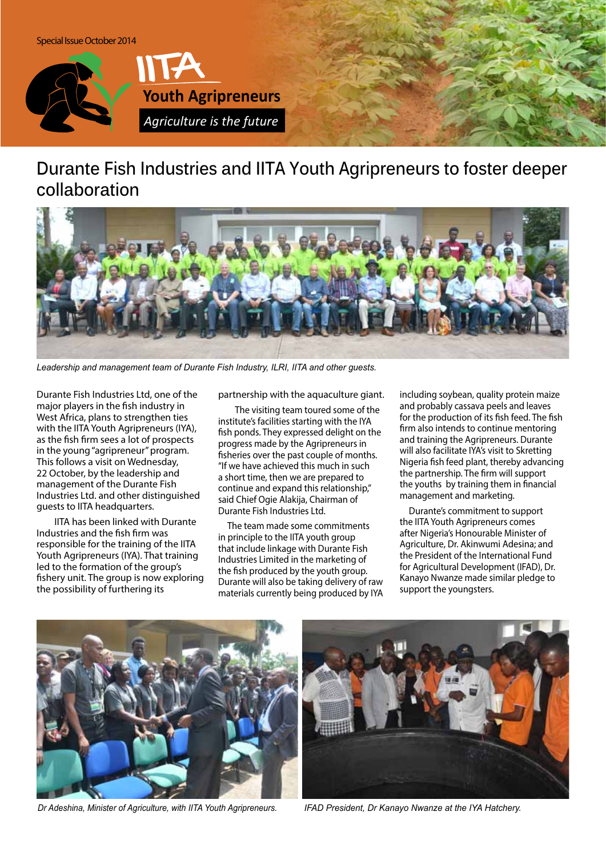

## **Durante Fish Industries and IITA Youth Agripreneurs to foster deeper collaboration**



*Leadership and management team of Durante Fish Industry, ILRI, IITA and other guests.*

Durante Fish Industries Ltd, one of the major players in the fish industry in West Africa, plans to strengthen ties with the IITA Youth Agripreneurs (IYA), as the fish firm sees a lot of prospects in the young "agripreneur" program. This follows a visit on Wednesday, 22 October, by the leadership and management of the Durante Fish Industries Ltd. and other distinguished guests to IITA headquarters.

 IITA has been linked with Durante Industries and the fish firm was responsible for the training of the IITA Youth Agripreneurs (IYA). That training led to the formation of the group's fishery unit. The group is now exploring the possibility of furthering its

partnership with the aquaculture giant.

 The visiting team toured some of the institute's facilities starting with the IYA fish ponds. They expressed delight on the progress made by the Agripreneurs in fisheries over the past couple of months. "If we have achieved this much in such a short time, then we are prepared to continue and expand this relationship," said Chief Ogie Alakija, Chairman of Durante Fish Industries Ltd.

The team made some commitments in principle to the IITA youth group that include linkage with Durante Fish Industries Limited in the marketing of the fish produced by the youth group. Durante will also be taking delivery of raw materials currently being produced by IYA including soybean, quality protein maize and probably cassava peels and leaves for the production of its fish feed. The fish firm also intends to continue mentoring and training the Agripreneurs. Durante will also facilitate IYA's visit to Skretting Nigeria fish feed plant, thereby advancing the partnership. The firm will support the youths by training them in financial management and marketing.

Durante's commitment to support the IITA Youth Agripreneurs comes after Nigeria's Honourable Minister of Agriculture, Dr. Akinwumi Adesina; and the President of the International Fund for Agricultural Development (IFAD), Dr. Kanayo Nwanze made similar pledge to support the youngsters.



*Dr Adeshina, Minister of Agriculture, with IITA Youth Agripreneurs. IFAD President, Dr Kanayo Nwanze at the IYA Hatchery.*